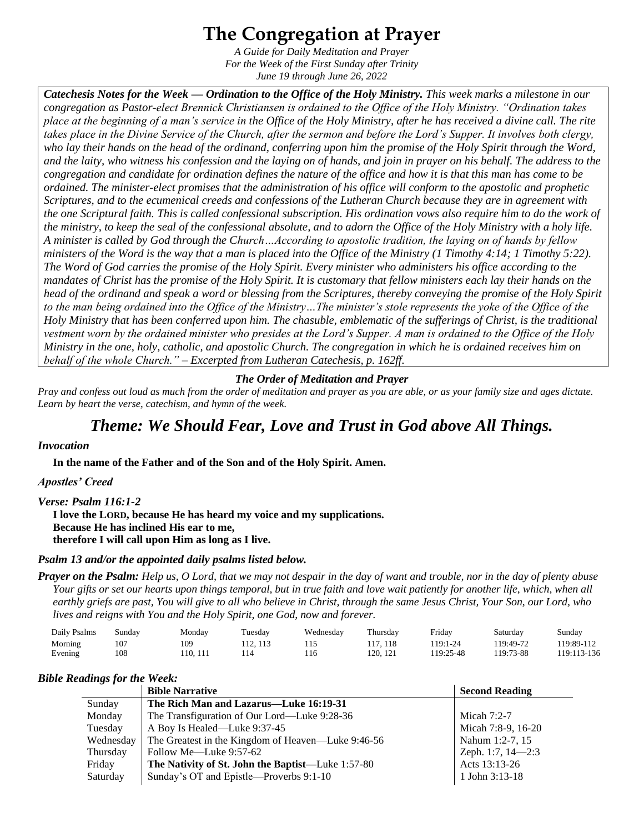# **The Congregation at Prayer**

*A Guide for Daily Meditation and Prayer For the Week of the First Sunday after Trinity June 19 through June 26, 2022*

*Catechesis Notes for the Week — Ordination to the Office of the Holy Ministry. This week marks a milestone in our congregation as Pastor-elect Brennick Christiansen is ordained to the Office of the Holy Ministry. "Ordination takes place at the beginning of a man's service in the Office of the Holy Ministry, after he has received a divine call. The rite takes place in the Divine Service of the Church, after the sermon and before the Lord's Supper. It involves both clergy, who lay their hands on the head of the ordinand, conferring upon him the promise of the Holy Spirit through the Word, and the laity, who witness his confession and the laying on of hands, and join in prayer on his behalf. The address to the congregation and candidate for ordination defines the nature of the office and how it is that this man has come to be ordained. The minister-elect promises that the administration of his office will conform to the apostolic and prophetic Scriptures, and to the ecumenical creeds and confessions of the Lutheran Church because they are in agreement with the one Scriptural faith. This is called confessional subscription. His ordination vows also require him to do the work of the ministry, to keep the seal of the confessional absolute, and to adorn the Office of the Holy Ministry with a holy life. A minister is called by God through the Church…According to apostolic tradition, the laying on of hands by fellow ministers of the Word is the way that a man is placed into the Office of the Ministry (1 Timothy 4:14; 1 Timothy 5:22). The Word of God carries the promise of the Holy Spirit. Every minister who administers his office according to the mandates of Christ has the promise of the Holy Spirit. It is customary that fellow ministers each lay their hands on the head of the ordinand and speak a word or blessing from the Scriptures, thereby conveying the promise of the Holy Spirit to the man being ordained into the Office of the Ministry…The minister's stole represents the yoke of the Office of the Holy Ministry that has been conferred upon him. The chasuble, emblematic of the sufferings of Christ, is the traditional vestment worn by the ordained minister who presides at the Lord's Supper. A man is ordained to the Office of the Holy Ministry in the one, holy, catholic, and apostolic Church. The congregation in which he is ordained receives him on behalf of the whole Church." – Excerpted from Lutheran Catechesis, p. 162ff.*

#### *The Order of Meditation and Prayer*

*Pray and confess out loud as much from the order of meditation and prayer as you are able, or as your family size and ages dictate. Learn by heart the verse, catechism, and hymn of the week.* 

# *Theme: We Should Fear, Love and Trust in God above All Things.*

#### *Invocation*

**In the name of the Father and of the Son and of the Holy Spirit. Amen.**

#### *Apostles' Creed*

#### *Verse: Psalm 116:1-2*

**I love the LORD, because He has heard my voice and my supplications. Because He has inclined His ear to me, therefore I will call upon Him as long as I live.**

#### *Psalm 13 and/or the appointed daily psalms listed below.*

*Prayer on the Psalm: Help us, O Lord, that we may not despair in the day of want and trouble, nor in the day of plenty abuse Your gifts or set our hearts upon things temporal, but in true faith and love wait patiently for another life, which, when all earthly griefs are past, You will give to all who believe in Christ, through the same Jesus Christ, Your Son, our Lord, who lives and reigns with You and the Holy Spirit, one God, now and forever.* 

| Daily Psalms       | Sunday                 | Monday         | Tuesday   | Wednesday | Thursday         | Friday                | Saturday             | Sunday                    |
|--------------------|------------------------|----------------|-----------|-----------|------------------|-----------------------|----------------------|---------------------------|
| Morning<br>Evening | 10 <sup>7</sup><br>108 | 109<br>10, 111 | . 12. 113 |           | . 118<br>20, 121 | 119:1-24<br>119:25-48 | 19:49-72<br>19:73-88 | 119:89-112<br>119:113-136 |

#### *Bible Readings for the Week:*

| <u>。</u>  | <b>Bible Narrative</b>                             | <b>Second Reading</b> |
|-----------|----------------------------------------------------|-----------------------|
| Sunday    | The Rich Man and Lazarus—Luke 16:19-31             |                       |
| Monday    | The Transfiguration of Our Lord—Luke 9:28-36       | Micah $7:2-7$         |
| Tuesday   | A Boy Is Healed—Luke 9:37-45                       | Micah 7:8-9, 16-20    |
| Wednesday | The Greatest in the Kingdom of Heaven—Luke 9:46-56 | Nahum 1:2-7, 15       |
| Thursday  | Follow Me—Luke 9:57-62                             | Zeph. 1:7, $14-2:3$   |
| Friday    | The Nativity of St. John the Baptist—Luke 1:57-80  | Acts 13:13-26         |
| Saturday  | Sunday's OT and Epistle—Proverbs 9:1-10            | 1 John 3:13-18        |